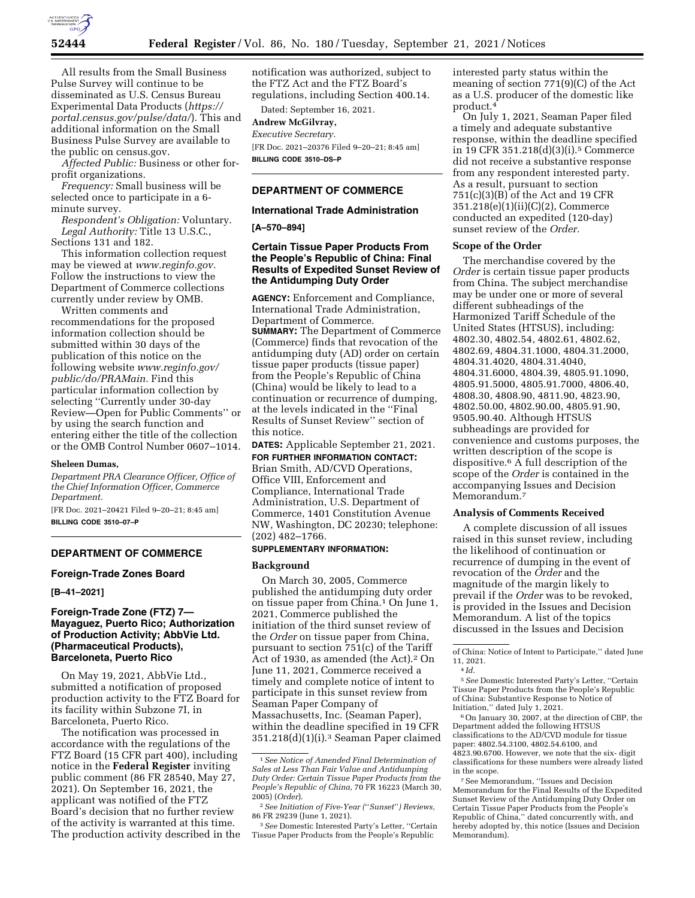

All results from the Small Business Pulse Survey will continue to be disseminated as U.S. Census Bureau Experimental Data Products (*https:// portal.census.gov/pulse/data/*). This and additional information on the Small Business Pulse Survey are available to the public on census.gov.

*Affected Public:* Business or other forprofit organizations.

*Frequency:* Small business will be selected once to participate in a 6 minute survey.

*Respondent's Obligation:* Voluntary. *Legal Authority:* Title 13 U.S.C., Sections 131 and 182.

This information collection request may be viewed at *www.reginfo.gov.*  Follow the instructions to view the Department of Commerce collections currently under review by OMB.

Written comments and recommendations for the proposed information collection should be submitted within 30 days of the publication of this notice on the following website *www.reginfo.gov/ public/do/PRAMain.* Find this particular information collection by selecting ''Currently under 30-day Review—Open for Public Comments'' or by using the search function and entering either the title of the collection or the OMB Control Number 0607–1014.

#### **Sheleen Dumas,**

*Department PRA Clearance Officer, Office of the Chief Information Officer, Commerce Department.* 

[FR Doc. 2021–20421 Filed 9–20–21; 8:45 am] **BILLING CODE 3510–07–P** 

# **DEPARTMENT OF COMMERCE**

#### **Foreign-Trade Zones Board**

**[B–41–2021]** 

### **Foreign-Trade Zone (FTZ) 7— Mayaguez, Puerto Rico; Authorization of Production Activity; AbbVie Ltd. (Pharmaceutical Products), Barceloneta, Puerto Rico**

On May 19, 2021, AbbVie Ltd., submitted a notification of proposed production activity to the FTZ Board for its facility within Subzone 7I, in Barceloneta, Puerto Rico.

The notification was processed in accordance with the regulations of the FTZ Board (15 CFR part 400), including notice in the **Federal Register** inviting public comment (86 FR 28540, May 27, 2021). On September 16, 2021, the applicant was notified of the FTZ Board's decision that no further review of the activity is warranted at this time. The production activity described in the notification was authorized, subject to the FTZ Act and the FTZ Board's regulations, including Section 400.14.

Dated: September 16, 2021.

## **Andrew McGilvray,**

*Executive Secretary.*  [FR Doc. 2021–20376 Filed 9–20–21; 8:45 am] **BILLING CODE 3510–DS–P** 

### **DEPARTMENT OF COMMERCE**

### **International Trade Administration**

# **[A–570–894]**

## **Certain Tissue Paper Products From the People's Republic of China: Final Results of Expedited Sunset Review of the Antidumping Duty Order**

**AGENCY:** Enforcement and Compliance, International Trade Administration, Department of Commerce. **SUMMARY:** The Department of Commerce (Commerce) finds that revocation of the antidumping duty (AD) order on certain tissue paper products (tissue paper) from the People's Republic of China (China) would be likely to lead to a continuation or recurrence of dumping, at the levels indicated in the ''Final Results of Sunset Review'' section of this notice.

**DATES:** Applicable September 21, 2021.

**FOR FURTHER INFORMATION CONTACT:**  Brian Smith, AD/CVD Operations, Office VIII, Enforcement and Compliance, International Trade Administration, U.S. Department of Commerce, 1401 Constitution Avenue NW, Washington, DC 20230; telephone: (202) 482–1766.

## **SUPPLEMENTARY INFORMATION:**

#### **Background**

On March 30, 2005, Commerce published the antidumping duty order on tissue paper from China.1 On June 1, 2021, Commerce published the initiation of the third sunset review of the *Order* on tissue paper from China, pursuant to section 751(c) of the Tariff Act of 1930, as amended (the Act).<sup>2</sup> On June 11, 2021, Commerce received a timely and complete notice of intent to participate in this sunset review from Seaman Paper Company of Massachusetts, Inc. (Seaman Paper), within the deadline specified in 19 CFR 351.218(d)(1)(i).3 Seaman Paper claimed interested party status within the meaning of section 771(9)(C) of the Act as a U.S. producer of the domestic like product.4

On July 1, 2021, Seaman Paper filed a timely and adequate substantive response, within the deadline specified in 19 CFR 351.218(d)(3)(i).5 Commerce did not receive a substantive response from any respondent interested party. As a result, pursuant to section 751(c)(3)(B) of the Act and 19 CFR 351.218(e)(1)(ii)(C)(2), Commerce conducted an expedited (120-day) sunset review of the *Order.* 

#### **Scope of the Order**

The merchandise covered by the *Order* is certain tissue paper products from China. The subject merchandise may be under one or more of several different subheadings of the Harmonized Tariff Schedule of the United States (HTSUS), including: 4802.30, 4802.54, 4802.61, 4802.62, 4802.69, 4804.31.1000, 4804.31.2000, 4804.31.4020, 4804.31.4040, 4804.31.6000, 4804.39, 4805.91.1090, 4805.91.5000, 4805.91.7000, 4806.40, 4808.30, 4808.90, 4811.90, 4823.90, 4802.50.00, 4802.90.00, 4805.91.90, 9505.90.40. Although HTSUS subheadings are provided for convenience and customs purposes, the written description of the scope is dispositive.6 A full description of the scope of the *Order* is contained in the accompanying Issues and Decision Memorandum.7

### **Analysis of Comments Received**

A complete discussion of all issues raised in this sunset review, including the likelihood of continuation or recurrence of dumping in the event of revocation of the *Order* and the magnitude of the margin likely to prevail if the *Order* was to be revoked, is provided in the Issues and Decision Memorandum. A list of the topics discussed in the Issues and Decision

5*See* Domestic Interested Party's Letter, ''Certain Tissue Paper Products from the People's Republic of China: Substantive Response to Notice of Initiation,'' dated July 1, 2021.

6On January 30, 2007, at the direction of CBP, the Department added the following HTSUS classifications to the AD/CVD module for tissue paper: 4802.54.3100, 4802.54.6100, and 4823.90.6700. However, we note that the six- digit classifications for these numbers were already listed in the scope.

<sup>1</sup>*See Notice of Amended Final Determination of Sales at Less Than Fair Value and Antidumping Duty Order: Certain Tissue Paper Products from the People's Republic of China,* 70 FR 16223 (March 30, 2005) (*Order*).

<sup>2</sup>*See Initiation of Five-Year (*''*Sunset*''*) Reviews,*  86 FR 29239 (June 1, 2021).

<sup>3</sup>*See* Domestic Interested Party's Letter, ''Certain Tissue Paper Products from the People's Republic

of China: Notice of Intent to Participate,'' dated June  $11, 2021.$ <sup>4</sup> *Id.* 

<sup>7</sup>See Memorandum, ''Issues and Decision Memorandum for the Final Results of the Expedited Sunset Review of the Antidumping Duty Order on Certain Tissue Paper Products from the People's Republic of China,'' dated concurrently with, and hereby adopted by, this notice (Issues and Decision Memorandum).